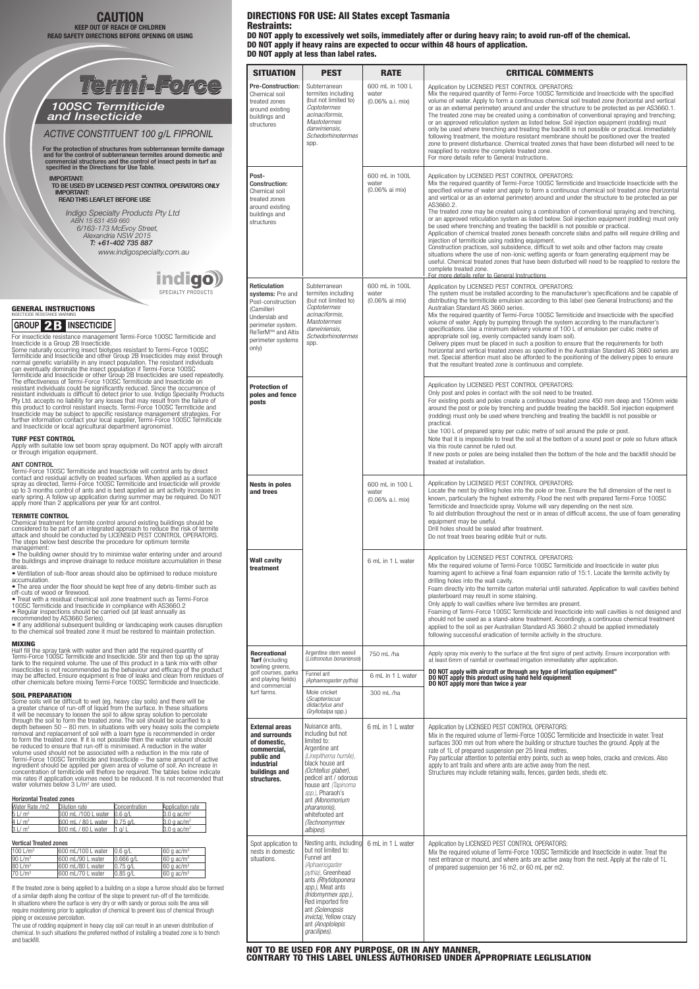For insecticide resistance management Termi-Force 100SC Termiticide and Insecticide is a Group 2B Insecticide. Some naturally occurring insect biotypes resistant to Termi-Force 100SC

Termiticide and Insecticide and other Group 2B Insecticides may exist through normal genetic variability in any insect population. The resistant individuals can eventually dominate the insect population if Termi-Force 100SC Termiticide and Insecticide or other Group 2B Insecticides are used repeatedly. The effectiveness of Termi-Force 100SC Termiticide and Insecticide on resistant individuals could be significantly reduced. Since the occurrence of<br>resistant individuals is difficult to detect prior to use. Indigo Speciality Products<br>Pty Ltd. accepts no liability for any losses that may resu this product to control resistant insects. Termi-Force 100SC Termiticide and Insecticide may be subject to specific resistance management strategies. For further information contact your local supplier, Termi-Force 100SC Termiticide and Insecticide or local agricultural department agronomist.

### **TURF PEST CONTROL**

Apply with suitable low set boom spray equipment. Do NOT apply with aircraft or through irrigation equipment.

#### ANT CONTROL

Termi-Force 100SC Termiticide and Insecticide will control ants by direct contact and residual activity on treated surfaces. When applied as a surface spray as directed, Termi-Force 100SC Termiticide and Insecticide will provide up to 3 months control of ants and is best applied as ant activity increases in early spring. A follow up application during summer may be required. Do NOT apply more than 2 applications per year for ant control.

Some soils will be difficult to wet (eg. heavy clay soils) and there will be a greater chance of run-off of liquid from the surface. In these situations it will be necessary to loosen the soil to allow spray solution to percolate through the soil to form the treated zone. The soil should be scarified to a depth between 50 – 80 mm. In situations with very heavy soils the complete removal and replacement of soil with a loam type is recommended in order to form the treated zone. If it is not possible then the water volume should be reduced to ensure that run-off is minimised. A reduction in the water volume used should not be associated with a reduction in the mix rate of Termi-Force 100SC Termiticide and Insecticide – the same amount of active ingredient should be applied per given area of volume of soil. An increase in concentration of temiticide will thefore be required. The tables below indicate mix rates if application volumes need to be reduced. It is not recomended that water volumes below 3 L/m<sup>2</sup> are used.

### **TERMITE CONTROL**

Chemical treatment for termite control around existing buildings should be considered to be part of an integrated approach to reduce the risk of termite attack and should be conducted by LICENSED PEST CONTROL OPERATORS. The steps below best describe the procedure for optimum termite management:

• The building owner should try to minimise water entering under and around the buildings and improve drainage to reduce moisture accumulation in these

areas. • Ventilation of sub-floor areas should also be optimised to reduce moisture

accumulation. • The area under the floor should be kept free of any debris-timber such as off-cuts of wood or firewood.

• Treat with a residual chemical soil zone treatment such as Termi-Force 100SC Termiticide and Insecticide in compliance with AS3660.2

• Regular inspections should be carried out (at least annually as recommended by AS3660 Series).

• If any additional subsequent building or landscaping work causes disruption to the chemical soil treated zone it must be restored to maintain protection.

## MIXING

Half fill the spray tank with water and then add the required quantity of Termi-Force 100SC Termiticide and Insecticide. Stir and then top up the spray tank to the required volume. The use of this product in a tank mix with other insecticides is not recommended as the behaviour and efficacy of the product may be affected. Ensure equipment is free of leaks and clean from residues of other chemicals before mixing Termi-Force 100SC Termiticide and Insecticide.

## SOIL PREPARATION

| <b>SITUATION</b>                                                                                                                                             | <b>PEST</b>                                                                                                                                                                                                                                                                                             | <b>RATE</b>                                             | <b>CRITICAL COMMENTS</b>                                                                                                                                                                                                                                                                                                                                                                                                                                                                                                                                                                                                                                                                                                                                                                                                                                                                                                                                                                                                                                                                                                                                                                         |
|--------------------------------------------------------------------------------------------------------------------------------------------------------------|---------------------------------------------------------------------------------------------------------------------------------------------------------------------------------------------------------------------------------------------------------------------------------------------------------|---------------------------------------------------------|--------------------------------------------------------------------------------------------------------------------------------------------------------------------------------------------------------------------------------------------------------------------------------------------------------------------------------------------------------------------------------------------------------------------------------------------------------------------------------------------------------------------------------------------------------------------------------------------------------------------------------------------------------------------------------------------------------------------------------------------------------------------------------------------------------------------------------------------------------------------------------------------------------------------------------------------------------------------------------------------------------------------------------------------------------------------------------------------------------------------------------------------------------------------------------------------------|
| <b>Pre-Construction:</b><br>Chemical soil<br>treated zones<br>around existing<br>buildings and<br>structures                                                 | Subterranean<br>termites including<br>(but not limited to)<br>Coptotermes<br>acinaciformis,<br><b>Mastotermes</b><br>darwiniensis,<br>Schedorhinotermes<br>spp.                                                                                                                                         | 600 mL in 100 L<br>water<br>$(0.06\% \text{ a.i. mix})$ | Application by LICENSED PEST CONTROL OPERATORS:<br>Mix the required quantity of Termi-Force 100SC Termiticide and Insecticide with the specified<br>volume of water. Apply to form a continuous chemical soil treated zone (horizontal and vertical<br>or as an external perimeter) around and under the structure to be protected as per AS3660.1.<br>The treated zone may be created using a combination of conventional spraying and trenching;<br>or an approved reticulation system as listed below. Soil injection equipment (rodding) must<br>only be used where trenching and treating the backfill is not possible or practical. Immediately<br>following treatment, the moisture resistant membrane should be positioned over the treated<br>zone to prevent disturbance. Chemical treated zones that have been disturbed will need to be<br>reapplied to restore the complete treated zone.<br>For more details refer to General Instructions.                                                                                                                                                                                                                                        |
| Post-<br><b>Construction:</b><br>Chemical soil<br>treated zones<br>around existing<br>buildings and<br>structures                                            |                                                                                                                                                                                                                                                                                                         | 600 mL in 100L<br>water<br>$(0.06\% \text{ ai mix})$    | Application by LICENSED PEST CONTROL OPERATORS:<br>Mix the required quantity of Termi-Force 100SC Termiticide and Insecticide Insecticide with the<br>specified volume of water and apply to form a continuous chemical soil treated zone (horizontal<br>and vertical or as an external perimeter) around and under the structure to be protected as per<br>AS3660.2.<br>The treated zone may be created using a combination of conventional spraying and trenching,<br>or an approved reticulation system as listed below. Soil injection equipment (rodding) must only<br>be used where trenching and treating the backfill is not possible or practical.<br>Application of chemical treated zones beneath concrete slabs and paths will require drilling and<br>injection of termiticide using rodding equipment.<br>Construction practices, soil subsidence, difficult to wet soils and other factors may create<br>situations where the use of non-ionic wetting agents or foam generating equipment may be<br>useful. Chemical treated zones that have been disturbed will need to be reapplied to restore the<br>complete treated zone.<br>For more details refer to General Instructions |
| Reticulation<br>systems: Pre and<br>Post-construction<br>(Camilleri<br>Underslab and<br>perimeter system.<br>ReTerM™ and Altis<br>perimeter systems<br>only) | Subterranean<br>termites including<br>(but not limited to)<br>Coptotermes<br>acinaciformis,<br><b>Mastotermes</b><br>darwiniensis,<br>Schedorhinotermes<br>spp.                                                                                                                                         | 600 mL in 100L<br>water<br>$(0.06\% \text{ ai mix})$    | Application by LICENSED PEST CONTROL OPERATORS:<br>The system must be installed according to the manufacturer's specifications and be capable of<br>distributing the termiticide emulsion according to this label (see General Instructions) and the<br>Australian Standard AS 3660 series.<br>Mix the required quantity of Termi-Force 100SC Termiticide and Insecticide with the specified<br>volume of water. Apply by pumping through the system according to the manufacturer's<br>specifications. Use a minimum delivery volume of 100 L of emulsion per cubic metre of<br>appropriate soil (eg, evenly compacted sandy loam soil).<br>Delivery pipes must be placed in such a position to ensure that the requirements for both<br>horizontal and vertical treated zones as specified in the Australian Standard AS 3660 series are<br>met. Special attention must also be afforded to the positioning of the delivery pipes to ensure<br>that the resultant treated zone is continuous and complete.                                                                                                                                                                                     |
| <b>Protection of</b><br>poles and fence<br>posts                                                                                                             |                                                                                                                                                                                                                                                                                                         |                                                         | Application by LICENSED PEST CONTROL OPERATORS:<br>Only post and poles in contact with the soil need to be treated.<br>For existing posts and poles create a continuous treated zone 450 mm deep and 150mm wide<br>around the post or pole by trenching and puddle treating the backfill. Soil injection equipment<br>(rodding) must only be used where trenching and treating the backfill is not possible or<br>practical.<br>Use 100 L of prepared spray per cubic metre of soil around the pole or post.<br>Note that it is impossible to treat the soil at the bottom of a sound post or pole so future attack<br>via this route cannot be ruled out.<br>If new posts or poles are being installed then the bottom of the hole and the backfill should be<br>treated at installation.                                                                                                                                                                                                                                                                                                                                                                                                       |
| <b>Nests in poles</b><br>and trees                                                                                                                           |                                                                                                                                                                                                                                                                                                         | 600 mL in 100 L<br>water<br>$(0.06\% \text{ a.i. mix})$ | Application by LICENSED PEST CONTROL OPERATORS:<br>Locate the nest by drilling holes into the pole or tree. Ensure the full dimension of the nest is<br>known, particularly the highest extremity. Flood the nest with prepared Termi-Force 100SC<br>Termiticide and Insecticide spray. Volume will vary depending on the nest size.<br>To aid distribution throughout the nest or in areas of difficult access, the use of foam generating<br>equipment may be useful.<br>Drill holes should be sealed after treatment.<br>Do not treat trees bearing edible fruit or nuts.                                                                                                                                                                                                                                                                                                                                                                                                                                                                                                                                                                                                                     |
| <b>Wall cavity</b><br>treatment                                                                                                                              |                                                                                                                                                                                                                                                                                                         | 6 mL in 1 L water                                       | Application by LICENSED PEST CONTROL OPERATORS:<br>Mix the required volume of Termi-Force 100SC Termiticide and Insecticide in water plus<br>foaming agent to achieve a final foam expansion ratio of 15:1. Locate the termite activity by<br>drilling holes into the wall cavity.<br>Foam directly into the termite carton material until saturated. Application to wall cavities behind<br>plasterboard may result in some staining.<br>Only apply to wall cavities where live termites are present.<br>Foaming of Termi-Force 100SC Termiticide and Insecticide into wall cavities is not designed and<br>should not be used as a stand-alone treatment. Accordingly, a continuous chemical treatment<br>applied to the soil as per Australian Standard AS 3660.2 should be applied immediately<br>following successful eradication of termite activity in the structure.                                                                                                                                                                                                                                                                                                                     |
| <b>Recreational</b><br><b>Turf</b> (including                                                                                                                | Argentine stem weevil<br>(Listronotus bonariensis)                                                                                                                                                                                                                                                      | 750 mL /ha                                              | Apply spray mix evenly to the surface at the first signs of pest activity. Ensure incorporation with<br>at least 6mm of rainfall or overhead irrigation immediately after application.                                                                                                                                                                                                                                                                                                                                                                                                                                                                                                                                                                                                                                                                                                                                                                                                                                                                                                                                                                                                           |
| bowling greens,<br>golf courses, parks<br>and playing fields)                                                                                                | Funnel ant<br>(Aphaenogaster pythia)                                                                                                                                                                                                                                                                    | 6 mL in 1 L water                                       | DO NOT apply with aircraft or through any type of irrigation equipment"<br>DO NOT apply this product using hand held equipment<br>DO NOT apply more than twice a year                                                                                                                                                                                                                                                                                                                                                                                                                                                                                                                                                                                                                                                                                                                                                                                                                                                                                                                                                                                                                            |
| and commercial<br>turf farms.                                                                                                                                | Mole cricket<br><i>(Scapteriscus</i><br>didactylus and<br>Gryllotalpa spp.)                                                                                                                                                                                                                             | 300 mL /ha                                              |                                                                                                                                                                                                                                                                                                                                                                                                                                                                                                                                                                                                                                                                                                                                                                                                                                                                                                                                                                                                                                                                                                                                                                                                  |
| <b>External areas</b><br>and surrounds<br>of domestic,<br>commercial,<br>public and<br><b>industrial</b><br>buildings and<br>structures.                     | Nuisance ants,<br>including but not<br>limited to:<br>Argentine ant<br>(Linepithema humile),<br>black house ant<br>(Ochtellus glaber),<br>pedicel ant / odorous<br>house ant <i>(Tapinoma</i> )<br>spp.), Pharaoh's<br>ant (Monomorium<br>pharanonis),<br>whitefooted ant<br>(Technomyrmex<br>albipes). | 6 mL in 1 L water                                       | Application by LICENSED PEST CONTROL OPERATORS:<br>Mix in the required volume of Termi-Force 100SC Termiticide and Insecticide in water. Treat<br>surfaces 300 mm out from where the building or structure touches the ground. Apply at the<br>rate of 1L of prepared suspension per 25 lineal metres.<br>Pay particular attention to potential entry points, such as weep holes, cracks and crevices. Also<br>apply to ant trails and where ants are active away from the nest.<br>Structures may include retaining walls, fences, garden beds, sheds etc.                                                                                                                                                                                                                                                                                                                                                                                                                                                                                                                                                                                                                                      |
| Spot application to<br>nests in domestic<br>situations.                                                                                                      | Nesting ants, including<br>but not limited to:<br>Funnel ant<br>(Aphaenogaster<br>pythia), Greenhead<br>ants (Rhytidoponera<br>spp.), Meat ants<br>(Iridomyrmex spp.),<br>Red imported fire<br>ant (Solenopsis<br>invicta), Yellow crazy<br>ant (Anoplolepis<br>gracilipes).                            | 6 mL in 1 L water                                       | Application by LICENSED PEST CONTROL OPERATORS:<br>Mix the required volume of Termi-Force 100SC Termiticide and Insecticide in water. Treat the<br>nest entrance or mound, and where ants are active away from the nest. Apply at the rate of 1L<br>of prepared suspension per 16 m2, or 60 mL per m2.                                                                                                                                                                                                                                                                                                                                                                                                                                                                                                                                                                                                                                                                                                                                                                                                                                                                                           |

#### Horizontal Treated zones

| Water Rate /m2     | Dilution rate                | Concentration | Application rate          |
|--------------------|------------------------------|---------------|---------------------------|
| $5 \text{ L/m}^2$  | 600 mL /100 L water 0.6 g/L  |               | $3.0$ g ac/m <sup>2</sup> |
| $4 \text{ L/m}^2$  | 600 mL / 80 L water 0.75 g/L |               | $3.0 g$ ac/m <sup>2</sup> |
| 3 L/m <sup>2</sup> | 600 mL / 60 L water          | a/L           | $3.0$ a ac/m <sup>2</sup> |

#### Vertical Treated zones

| 100 L/m <sup>3</sup> | 600 mL/100 L water | $ 0.6$ g/L   | $160$ q ac/m <sup>3</sup> |
|----------------------|--------------------|--------------|---------------------------|
| $90 \text{ L/m}^3$   | 1600 mL/90 L water | $ 0.666$ g/L | $160$ q ac/m <sup>3</sup> |
| $80 \text{ L/m}^3$   | 1600 mL/80 L water | $ 0.75$ g/L  | $ 60 \text{ q ac/m}^3$    |
| 70 L/m <sup>3</sup>  | 1600 mL/70 L water | $ 0.85$ g/L  | $160$ q ac/m <sup>3</sup> |

If the treated zone is being applied to a building on a slope a furrow should also be formed of a similar depth along the contour of the slope to prevent run-off of the termiticide. In situations where the surface is very dry or with sandy or porous soils the area will require moistening prior to application of chemical to prevent loss of chemical through piping or excessive percolation.

The use of rodding equipment in heavy clay soil can result in an uneven distribution of chemical. In such situations the preferred method of installing a treated zone is to trench and backfill.

## NOT TO BE USED FOR ANY PURPOSE, OR IN ANY MANNER, CONTRARY TO THIS LABEL UNLESS AUTHORISED UNDER APPROPRIATE LEGLISLATION

## DIRECTIONS FOR USE: All States except Tasmania Restraints:

DO NOT apply to excessively wet soils, immediately after or during heavy rain; to avoid run-off of the chemical. DO NOT apply if heavy rains are expected to occur within 48 hours of application. DO NOT apply at less than label rates.



*ACTIVE CONSTITUENT 100 g/L FIPRONIL*

## *100SC Termiticide and Insecticide*

For the protection of structures from subterranean termite damage and for the control of subterranean termites around domestic and commercial structures and the control of insect pests in turf as specified in the Directions for Use Table.

IMPORTANT: TO BE USED BY LICENSED PEST CONTROL OPERATORS ONLY IMPORTANT: READ THIS LEAFLET BEFORE USE

> *Indigo Specialty Products Pty Ltd ABN 15 631 459 660 6/163-173 McEvoy Street, Alexandria NSW 2015 T: +61-402 735 887 www.indigospecialty.com.au*

## **CAUTION KEEP OUT OF REACH OF CHILDREN READ SAFETY DIRECTIONS BEFORE OPENING OR USING**



# GENERAL INSTRUCTIONS<br>INSECTICIDE RESISTANCE WARNING

# **GROUP 2 B INSECTICIDE**